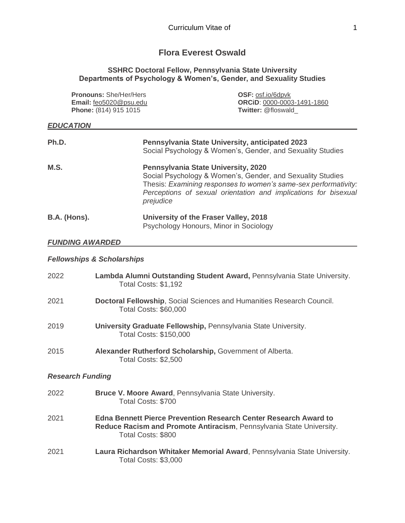# **Flora Everest Oswald**

#### **SSHRC Doctoral Fellow, Pennsylvania State University Departments of Psychology & Women's, Gender, and Sexuality Studies**

| <b>Pronouns: She/Her/Hers</b><br>Email: feo5020@psu.edu<br>Phone: (814) 915 1015 |  | <b>OSF: osf.io/6dpvk</b><br><b>ORCID: 0000-0003-1491-1860</b><br><b>Twitter: @floswald</b> |
|----------------------------------------------------------------------------------|--|--------------------------------------------------------------------------------------------|
| <b>EDUCATION</b>                                                                 |  |                                                                                            |
| Ph.D.                                                                            |  | <b>Pennsylvania State University, anticipated 2023</b>                                     |

|                     | Social Psychology & Women's, Gender, and Sexuality Studies                                                                                                                                                                                           |
|---------------------|------------------------------------------------------------------------------------------------------------------------------------------------------------------------------------------------------------------------------------------------------|
| M.S.                | Pennsylvania State University, 2020<br>Social Psychology & Women's, Gender, and Sexuality Studies<br>Thesis: Examining responses to women's same-sex performativity:<br>Perceptions of sexual orientation and implications for bisexual<br>prejudice |
| <b>B.A.</b> (Hons). | University of the Fraser Valley, 2018<br>Psychology Honours, Minor in Sociology                                                                                                                                                                      |

#### *FUNDING AWARDED*

# *Fellowships & Scholarships*

| 2022                    | Lambda Alumni Outstanding Student Award, Pennsylvania State University.<br><b>Total Costs: \$1,192</b>                                                                |  |
|-------------------------|-----------------------------------------------------------------------------------------------------------------------------------------------------------------------|--|
| 2021                    | Doctoral Fellowship, Social Sciences and Humanities Research Council.<br><b>Total Costs: \$60,000</b>                                                                 |  |
| 2019                    | University Graduate Fellowship, Pennsylvania State University.<br><b>Total Costs: \$150,000</b>                                                                       |  |
| 2015                    | Alexander Rutherford Scholarship, Government of Alberta.<br>Total Costs: \$2,500                                                                                      |  |
| <b>Research Funding</b> |                                                                                                                                                                       |  |
| 2022                    | Bruce V. Moore Award, Pennsylvania State University.<br>Total Costs: \$700                                                                                            |  |
| 2021                    | <b>Edna Bennett Pierce Prevention Research Center Research Award to</b><br>Reduce Racism and Promote Antiracism, Pennsylvania State University.<br>Total Costs: \$800 |  |
| 2021                    | Laura Richardson Whitaker Memorial Award, Pennsylvania State University.<br>Total Costs: \$3,000                                                                      |  |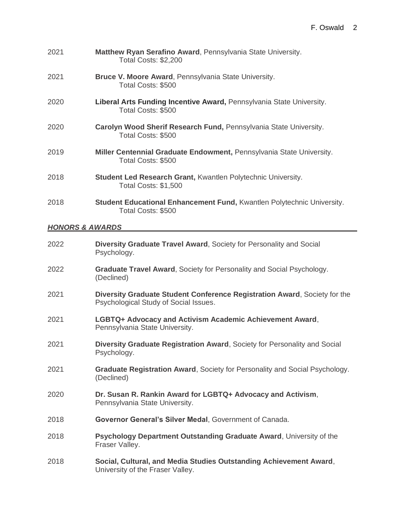| 2021 | Matthew Ryan Serafino Award, Pennsylvania State University.<br>Total Costs: \$2,200                |
|------|----------------------------------------------------------------------------------------------------|
| 2021 | Bruce V. Moore Award, Pennsylvania State University.<br>Total Costs: \$500                         |
| 2020 | Liberal Arts Funding Incentive Award, Pennsylvania State University.<br>Total Costs: \$500         |
| 2020 | Carolyn Wood Sherif Research Fund, Pennsylvania State University.<br>Total Costs: \$500            |
| 2019 | Miller Centennial Graduate Endowment, Pennsylvania State University.<br>Total Costs: \$500         |
| 2018 | <b>Student Led Research Grant, Kwantlen Polytechnic University.</b><br><b>Total Costs: \$1,500</b> |
| 2018 | Student Educational Enhancement Fund, Kwantlen Polytechnic University.<br>Total Costs: \$500       |

# *HONORS & AWARDS*

| 2022 | Diversity Graduate Travel Award, Society for Personality and Social<br>Psychology.                                 |
|------|--------------------------------------------------------------------------------------------------------------------|
| 2022 | <b>Graduate Travel Award, Society for Personality and Social Psychology.</b><br>(Declined)                         |
| 2021 | Diversity Graduate Student Conference Registration Award, Society for the<br>Psychological Study of Social Issues. |
| 2021 | LGBTQ+ Advocacy and Activism Academic Achievement Award,<br>Pennsylvania State University.                         |
| 2021 | Diversity Graduate Registration Award, Society for Personality and Social<br>Psychology.                           |
| 2021 | Graduate Registration Award, Society for Personality and Social Psychology.<br>(Declined)                          |
| 2020 | Dr. Susan R. Rankin Award for LGBTQ+ Advocacy and Activism,<br>Pennsylvania State University.                      |
| 2018 | Governor General's Silver Medal, Government of Canada.                                                             |
| 2018 | Psychology Department Outstanding Graduate Award, University of the<br>Fraser Valley.                              |
| 2018 | Social, Cultural, and Media Studies Outstanding Achievement Award,<br>University of the Fraser Valley.             |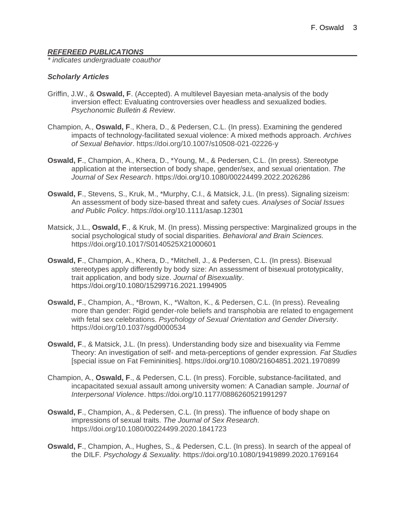### *REFEREED PUBLICATIONS*

*\* indicates undergraduate coauthor*

#### *Scholarly Articles*

- Griffin, J.W., & **Oswald, F**. (Accepted). A multilevel Bayesian meta-analysis of the body inversion effect: Evaluating controversies over headless and sexualized bodies. *Psychonomic Bulletin & Review*.
- Champion, A., **Oswald, F**., Khera, D., & Pedersen, C.L. (In press). Examining the gendered impacts of technology-facilitated sexual violence: A mixed methods approach. *Archives of Sexual Behavior*. https://doi.org/10.1007/s10508-021-02226-y
- **Oswald, F**., Champion, A., Khera, D., \*Young, M., & Pedersen, C.L. (In press). Stereotype application at the intersection of body shape, gender/sex, and sexual orientation. *The Journal of Sex Research*. https://doi.org/10.1080/00224499.2022.2026286
- **Oswald, F**., Stevens, S., Kruk, M., \*Murphy, C.I., & Matsick, J.L. (In press). Signaling sizeism: An assessment of body size-based threat and safety cues. *Analyses of Social Issues and Public Policy*. https://doi.org/10.1111/asap.12301
- Matsick, J.L., **Oswald, F**., & Kruk, M. (In press). Missing perspective: Marginalized groups in the social psychological study of social disparities. *Behavioral and Brain Sciences.* https://doi.org/10.1017/S0140525X21000601
- **Oswald, F**., Champion, A., Khera, D., \*Mitchell, J., & Pedersen, C.L. (In press). Bisexual stereotypes apply differently by body size: An assessment of bisexual prototypicality, trait application, and body size. *Journal of Bisexuality*. https://doi.org/10.1080/15299716.2021.1994905
- **Oswald, F**., Champion, A., \*Brown, K., \*Walton, K., & Pedersen, C.L. (In press). Revealing more than gender: Rigid gender-role beliefs and transphobia are related to engagement with fetal sex celebrations. *Psychology of Sexual Orientation and Gender Diversity*. https://doi.org/10.1037/sgd0000534
- **Oswald, F**., & Matsick, J.L. (In press). Understanding body size and bisexuality via Femme Theory: An investigation of self- and meta-perceptions of gender expression*. Fat Studies* [special issue on Fat Femininities]. https://doi.org/10.1080/21604851.2021.1970899
- Champion, A., **Oswald, F**., & Pedersen, C.L. (In press). Forcible, substance-facilitated, and incapacitated sexual assault among university women: A Canadian sample. *Journal of Interpersonal Violence*. https://doi.org/10.1177/0886260521991297
- **Oswald, F**., Champion, A., & Pedersen, C.L. (In press). The influence of body shape on impressions of sexual traits. *The Journal of Sex Research.* https://doi.org/10.1080/00224499.2020.1841723
- **Oswald, F**., Champion, A., Hughes, S., & Pedersen, C.L. (In press). In search of the appeal of the DILF*. Psychology & Sexuality.* https://doi.org/10.1080/19419899.2020.1769164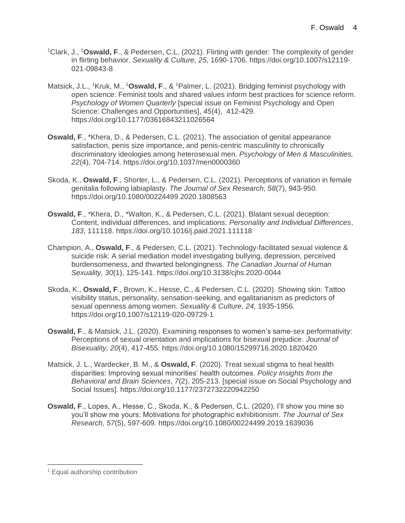- <sup>1</sup>Clark, J., <sup>1</sup>**Oswald, F**., & Pedersen, C.L. (2021). Flirting with gender: The complexity of gender in flirting behavior. *Sexuality & Culture, 25,* 1690-1706. https://doi.org/10.1007/s12119- 021-09843-8
- Matsick, J.L., <sup>1</sup>Kruk, M., <sup>1</sup>Oswald, F., & <sup>1</sup>Palmer, L. (2021). Bridging feminist psychology with open science: Feminist tools and shared values inform best practices for science reform. *Psychology of Women Quarterly* [special issue on Feminist Psychology and Open Science: Challenges and Opportunities], *45*(4), 412-429. https://doi.org/10.1177/03616843211026564
- **Oswald, F**., \*Khera, D., & Pedersen, C.L. (2021). The association of genital appearance satisfaction, penis size importance, and penis-centric masculinity to chronically discriminatory ideologies among heterosexual men*. Psychology of Men & Masculinities, 22*(4), 704-714. https://doi.org/10.1037/men0000360
- Skoda, K., **Oswald, F**., Shorter, L., & Pedersen, C.L. (2021). Perceptions of variation in female genitalia following labiaplasty. *The Journal of Sex Research, 58*(7), 943-950. https://doi.org/10.1080/00224499.2020.1808563
- **Oswald, F**., \*Khera, D., \*Walton, K., & Pedersen, C.L. (2021). Blatant sexual deception: Content, individual differences, and implications. *Personality and Individual Differences*, *183*, 111118*.* https://doi.org/10.1016/j.paid.2021.111118
- Champion, A., **Oswald, F**., & Pedersen, C.L. (2021). Technology-facilitated sexual violence & suicide risk: A serial mediation model investigating bullying, depression, perceived burdensomeness, and thwarted belongingness. *The Canadian Journal of Human Sexuality, 30*(1), 125-141. https://doi.org/10.3138/cjhs.2020-0044
- Skoda, K., **Oswald, F**., Brown, K., Hesse, C., & Pedersen, C.L. (2020). Showing skin: Tattoo visibility status, personality, sensation-seeking, and egalitarianism as predictors of sexual openness among women. *Sexuality & Culture, 24,* 1935-1956*.*  https://doi.org/10.1007/s12119-020-09729-1
- **Oswald, F**., & Matsick, J.L. (2020). Examining responses to women's same-sex performativity: Perceptions of sexual orientation and implications for bisexual prejudice. *Journal of Bisexuality, 20*(4), 417-455*.* https://doi.org/10.1080/15299716.2020.1820420
- Matsick, J. L., Wardecker, B. M., & **Oswald, F**. (2020). Treat sexual stigma to heal health disparities: Improving sexual minorities' health outcomes. *Policy Insights from the Behavioral and Brain Sciences*, *7*(2), 205-213. [special issue on Social Psychology and Social Issues]. https://doi.org/10.1177/2372732220942250
- **Oswald, F**., Lopes, A., Hesse, C., Skoda, K., & Pedersen, C.L. (2020). I'll show you mine so you'll show me yours: Motivations for photographic exhibitionism. *The Journal of Sex Research, 57*(5), 597-609*.* https://doi.org/10.1080/00224499.2019.1639036

<sup>1</sup> Equal authorship contribution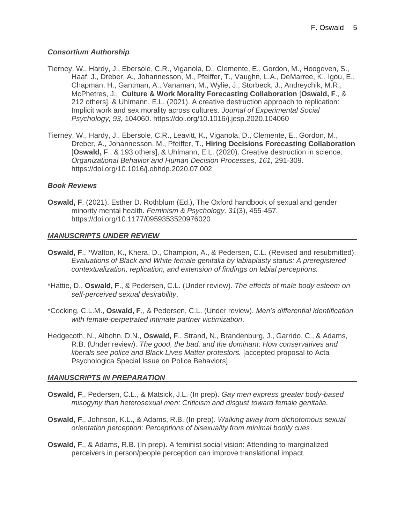#### *Consortium Authorship*

- Tierney, W., Hardy, J., Ebersole, C.R., Viganola, D., Clemente, E., Gordon, M., Hoogeven, S., Haaf, J., Dreber, A., Johannesson, M., Pfeiffer, T., Vaughn, L.A., DeMarree, K., Igou, E., Chapman, H., Gantman, A., Vanaman, M., Wylie, J., Storbeck, J., Andreychik, M.R., McPhetres, J., **Culture & Work Morality Forecasting Collaboration** [**Oswald, F**., & 212 others], & Uhlmann, E.L. (2021). A creative destruction approach to replication: Implicit work and sex morality across cultures. *Journal of Experimental Social Psychology, 93,* 104060. https://doi.org/10.1016/j.jesp.2020.104060
- Tierney, W., Hardy, J., Ebersole, C.R., Leavitt, K., Viganola, D., Clemente, E., Gordon, M., Dreber, A., Johannesson, M., Pfeiffer, T., **Hiring Decisions Forecasting Collaboration** [**Oswald, F**., & 193 others], & Uhlmann, E.L. (2020). Creative destruction in science. *Organizational Behavior and Human Decision Processes, 161,* 291-309. https://doi.org/10.1016/j.obhdp.2020.07.002

### *Book Reviews*

**Oswald, F**. (2021). Esther D. Rothblum (Ed.), The Oxford handbook of sexual and gender minority mental health. *Feminism & Psychology, 31*(3), 455-457*.* https://doi.org/10.1177/0959353520976020

#### *MANUSCRIPTS UNDER REVIEW*

- **Oswald, F**., \*Walton, K., Khera, D., Champion, A., & Pedersen, C.L. (Revised and resubmitted). *Evaluations of Black and White female genitalia by labiaplasty status: A preregistered contextualization, replication, and extension of findings on labial perceptions.*
- \*Hattie, D., **Oswald, F**., & Pedersen, C.L. (Under review). *The effects of male body esteem on self-perceived sexual desirability*.
- \*Cocking, C.L.M., **Oswald, F**., & Pedersen, C.L. (Under review). *Men's differential identification with female-perpetrated intimate partner victimization*.
- Hedgecoth, N., Albohn, D.N., **Oswald, F**., Strand, N., Brandenburg, J., Garrido, C., & Adams, R.B. (Under review). *The good, the bad, and the dominant: How conservatives and liberals see police and Black Lives Matter protestors.* [accepted proposal to Acta Psychologica Special Issue on Police Behaviors].

# *MANUSCRIPTS IN PREPARATION*

- **Oswald, F**., Pedersen, C.L., & Matsick, J.L. (In prep). *Gay men express greater body-based misogyny than heterosexual men: Criticism and disgust toward female genitalia.*
- **Oswald, F**., Johnson, K.L., & Adams, R.B. (In prep). *Walking away from dichotomous sexual orientation perception: Perceptions of bisexuality from minimal bodily cues*.
- **Oswald, F**., & Adams, R.B. (In prep). A feminist social vision: Attending to marginalized perceivers in person/people perception can improve translational impact.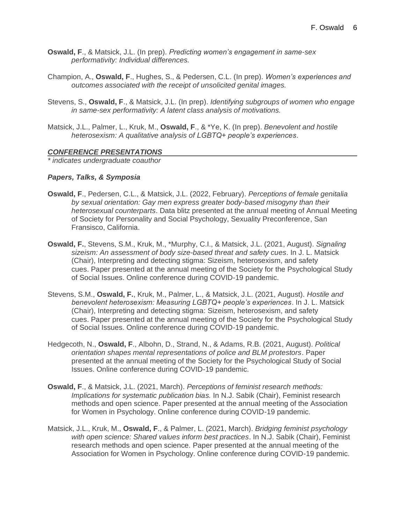- **Oswald, F**., & Matsick, J.L. (In prep). *Predicting women's engagement in same-sex performativity: Individual differences.*
- Champion, A., **Oswald, F**., Hughes, S., & Pedersen, C.L. (In prep). *Women's experiences and outcomes associated with the receipt of unsolicited genital images.*
- Stevens, S., **Oswald, F**., & Matsick, J.L. (In prep). *Identifying subgroups of women who engage in same-sex performativity: A latent class analysis of motivations.*
- Matsick, J.L., Palmer, L., Kruk, M., **Oswald, F**., & \*Ye, K. (In prep). *Benevolent and hostile heterosexism: A qualitative analysis of LGBTQ+ people's experiences*.

#### *CONFERENCE PRESENTATIONS*

*\* indicates undergraduate coauthor*

#### *Papers, Talks, & Symposia*

- **Oswald, F**., Pedersen, C.L., & Matsick, J.L. (2022, February). *Perceptions of female genitalia by sexual orientation: Gay men express greater body-based misogyny than their heterosexual counterparts*. Data blitz presented at the annual meeting of Annual Meeting of Society for Personality and Social Psychology, Sexuality Preconference, San Fransisco, California.
- **Oswald, F.**, Stevens, S.M., Kruk, M., \*Murphy, C.I., & Matsick, J.L. (2021, August). *Signaling sizeism: An assessment of body size-based threat and safety cues*. In J. L. Matsick (Chair), Interpreting and detecting stigma: Sizeism, heterosexism, and safety cues. Paper presented at the annual meeting of the Society for the Psychological Study of Social Issues. Online conference during COVID-19 pandemic.
- Stevens, S.M., **Oswald, F.**, Kruk, M., Palmer, L., & Matsick, J.L. (2021, August). *Hostile and benevolent heterosexism: Measuring LGBTQ+ people's experiences*. In J. L. Matsick (Chair), Interpreting and detecting stigma: Sizeism, heterosexism, and safety cues. Paper presented at the annual meeting of the Society for the Psychological Study of Social Issues. Online conference during COVID-19 pandemic.
- Hedgecoth, N., **Oswald, F**., Albohn, D., Strand, N., & Adams, R.B. (2021, August). *Political orientation shapes mental representations of police and BLM protestors*. Paper presented at the annual meeting of the Society for the Psychological Study of Social Issues. Online conference during COVID-19 pandemic.
- **Oswald, F**., & Matsick, J.L. (2021, March). *Perceptions of feminist research methods: Implications for systematic publication bias.* In N.J. Sabik (Chair), Feminist research methods and open science. Paper presented at the annual meeting of the Association for Women in Psychology. Online conference during COVID-19 pandemic.
- Matsick, J.L., Kruk, M., **Oswald, F**., & Palmer, L. (2021, March). *Bridging feminist psychology with open science: Shared values inform best practices*. In N.J. Sabik (Chair), Feminist research methods and open science. Paper presented at the annual meeting of the Association for Women in Psychology. Online conference during COVID-19 pandemic.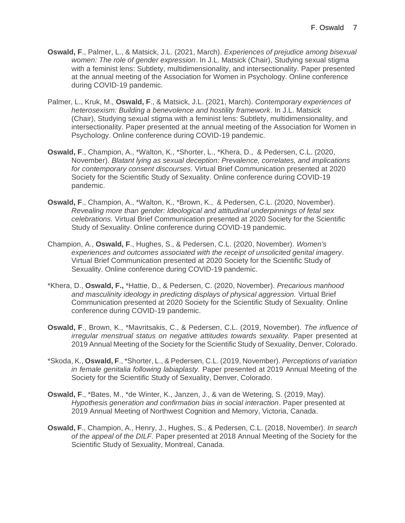- **Oswald, F**., Palmer, L., & Matsick, J.L. (2021, March). *Experiences of prejudice among bisexual women: The role of gender expression*. In J.L. Matsick (Chair), Studying sexual stigma with a feminist lens: Subtlety, multidimensionality, and intersectionality. Paper presented at the annual meeting of the Association for Women in Psychology. Online conference during COVID-19 pandemic.
- Palmer, L., Kruk, M., **Oswald, F**., & Matsick, J.L. (2021, March). *Contemporary experiences of heterosexism: Building a benevolence and hostility framework*. In J.L. Matsick (Chair), Studying sexual stigma with a feminist lens: Subtlety, multidimensionality, and intersectionality. Paper presented at the annual meeting of the Association for Women in Psychology. Online conference during COVID-19 pandemic.
- **Oswald, F**., Champion, A., \*Walton, K., \*Shorter, L., \*Khera, D., & Pedersen, C.L. (2020, November). *Blatant lying as sexual deception: Prevalence, correlates, and implications for contemporary consent discourses.* Virtual Brief Communication presented at 2020 Society for the Scientific Study of Sexuality. Online conference during COVID-19 pandemic.
- **Oswald, F**., Champion, A., \*Walton, K., \*Brown, K., & Pedersen, C.L. (2020, November). *Revealing more than gender: Ideological and attitudinal underpinnings of fetal sex celebrations.* Virtual Brief Communication presented at 2020 Society for the Scientific Study of Sexuality. Online conference during COVID-19 pandemic.
- Champion, A., **Oswald, F**., Hughes, S., & Pedersen, C.L. (2020, November). *Women's experiences and outcomes associated with the receipt of unsolicited genital imagery.* Virtual Brief Communication presented at 2020 Society for the Scientific Study of Sexuality. Online conference during COVID-19 pandemic.
- \*Khera, D., **Oswald, F.,** \*Hattie, D., & Pedersen, C. (2020, November). *Precarious manhood and masculinity ideology in predicting displays of physical aggression.* Virtual Brief Communication presented at 2020 Society for the Scientific Study of Sexuality. Online conference during COVID-19 pandemic.
- **Oswald, F**., Brown, K., \*Mavritsakis, C., & Pedersen, C.L. (2019, November). *The influence of irregular menstrual status on negative attitudes towards sexuality.* Paper presented at 2019 Annual Meeting of the Society for the Scientific Study of Sexuality, Denver, Colorado.
- \*Skoda, K., **Oswald, F**., \*Shorter, L., & Pedersen, C.L. (2019, November). *Perceptions of variation in female genitalia following labiaplasty.* Paper presented at 2019 Annual Meeting of the Society for the Scientific Study of Sexuality, Denver, Colorado.
- **Oswald, F**., \*Bates, M., \*de Winter, K., Janzen, J., & van de Wetering, S. (2019, May). *Hypothesis generation and confirmation bias in social interaction*. Paper presented at 2019 Annual Meeting of Northwest Cognition and Memory, Victoria, Canada.
- **Oswald, F**., Champion, A., Henry, J., Hughes, S., & Pedersen, C.L. (2018, November). *In search of the appeal of the DILF.* Paper presented at 2018 Annual Meeting of the Society for the Scientific Study of Sexuality, Montreal, Canada.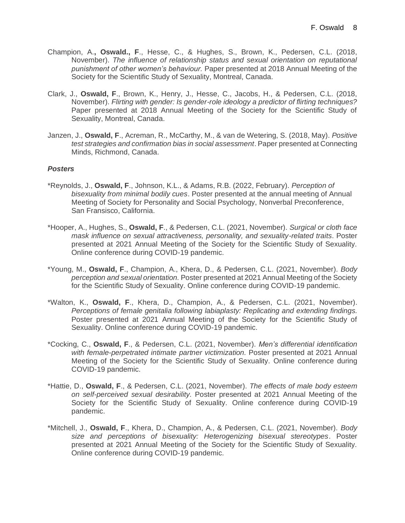- Champion, A.**, Oswald., F**., Hesse, C., & Hughes, S., Brown, K., Pedersen, C.L. (2018, November). *The influence of relationship status and sexual orientation on reputational punishment of other women's behaviour.* Paper presented at 2018 Annual Meeting of the Society for the Scientific Study of Sexuality, Montreal, Canada.
- Clark, J., **Oswald, F**., Brown, K., Henry, J., Hesse, C., Jacobs, H., & Pedersen, C.L. (2018, November). *Flirting with gender: Is gender-role ideology a predictor of flirting techniques?*  Paper presented at 2018 Annual Meeting of the Society for the Scientific Study of Sexuality, Montreal, Canada.
- Janzen, J., **Oswald, F**., Acreman, R., McCarthy, M., & van de Wetering, S. (2018, May). *Positive test strategies and confirmation bias in social assessment*. Paper presented at Connecting Minds, Richmond, Canada.

# *Posters*

- \*Reynolds, J., **Oswald, F**., Johnson, K.L., & Adams, R.B. (2022, February). *Perception of bisexuality from minimal bodily cues*. Poster presented at the annual meeting of Annual Meeting of Society for Personality and Social Psychology, Nonverbal Preconference, San Fransisco, California.
- \*Hooper, A., Hughes, S., **Oswald, F**., & Pedersen, C.L. (2021, November). *Surgical or cloth face mask influence on sexual attractiveness, personality, and sexuality-related traits*. Poster presented at 2021 Annual Meeting of the Society for the Scientific Study of Sexuality. Online conference during COVID-19 pandemic.
- \*Young, M., **Oswald, F**., Champion, A., Khera, D., & Pedersen, C.L. (2021, November). *Body perception and sexual orientation.* Poster presented at 2021 Annual Meeting of the Society for the Scientific Study of Sexuality. Online conference during COVID-19 pandemic.
- \*Walton, K., **Oswald, F**., Khera, D., Champion, A., & Pedersen, C.L. (2021, November). *Perceptions of female genitalia following labiaplasty: Replicating and extending findings.* Poster presented at 2021 Annual Meeting of the Society for the Scientific Study of Sexuality. Online conference during COVID-19 pandemic.
- \*Cocking, C., **Oswald, F**., & Pedersen, C.L. (2021, November). *Men's differential identification with female-perpetrated intimate partner victimization.* Poster presented at 2021 Annual Meeting of the Society for the Scientific Study of Sexuality. Online conference during COVID-19 pandemic.
- \*Hattie, D., **Oswald, F**., & Pedersen, C.L. (2021, November). *The effects of male body esteem on self-perceived sexual desirability.* Poster presented at 2021 Annual Meeting of the Society for the Scientific Study of Sexuality. Online conference during COVID-19 pandemic.
- \*Mitchell, J., **Oswald, F**., Khera, D., Champion, A., & Pedersen, C.L. (2021, November). *Body size and perceptions of bisexuality: Heterogenizing bisexual stereotypes*. Poster presented at 2021 Annual Meeting of the Society for the Scientific Study of Sexuality. Online conference during COVID-19 pandemic.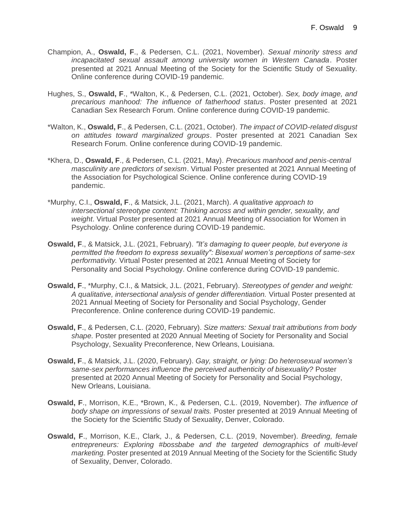- Champion, A., **Oswald, F**., & Pedersen, C.L. (2021, November). *Sexual minority stress and incapacitated sexual assault among university women in Western Canada*. Poster presented at 2021 Annual Meeting of the Society for the Scientific Study of Sexuality. Online conference during COVID-19 pandemic.
- Hughes, S., **Oswald, F**., \*Walton, K., & Pedersen, C.L. (2021, October). *Sex, body image, and precarious manhood: The influence of fatherhood status*. Poster presented at 2021 Canadian Sex Research Forum. Online conference during COVID-19 pandemic.
- \*Walton, K., **Oswald, F**., & Pedersen, C.L. (2021, October). *The impact of COVID-related disgust on attitudes toward marginalized groups*. Poster presented at 2021 Canadian Sex Research Forum. Online conference during COVID-19 pandemic.
- \*Khera, D., **Oswald, F**., & Pedersen, C.L. (2021, May). *Precarious manhood and penis-central masculinity are predictors of sexism*. Virtual Poster presented at 2021 Annual Meeting of the Association for Psychological Science. Online conference during COVID-19 pandemic.
- \*Murphy, C.I., **Oswald, F**., & Matsick, J.L. (2021, March). *A qualitative approach to intersectional stereotype content: Thinking across and within gender, sexuality, and weight*. Virtual Poster presented at 2021 Annual Meeting of Association for Women in Psychology. Online conference during COVID-19 pandemic.
- **Oswald, F**., & Matsick, J.L. (2021, February). *"It's damaging to queer people, but everyone is permitted the freedom to express sexuality": Bisexual women's perceptions of same-sex performativity.* Virtual Poster presented at 2021 Annual Meeting of Society for Personality and Social Psychology. Online conference during COVID-19 pandemic.
- **Oswald, F**., \*Murphy, C.I., & Matsick, J.L. (2021, February). *Stereotypes of gender and weight: A qualitative, intersectional analysis of gender differentiation.* Virtual Poster presented at 2021 Annual Meeting of Society for Personality and Social Psychology, Gender Preconference. Online conference during COVID-19 pandemic.
- **Oswald, F**., & Pedersen, C.L. (2020, February). *Size matters: Sexual trait attributions from body shape.* Poster presented at 2020 Annual Meeting of Society for Personality and Social Psychology, Sexuality Preconference, New Orleans, Louisiana.
- **Oswald, F**., & Matsick, J.L. (2020, February). *Gay, straight, or lying: Do heterosexual women's same-sex performances influence the perceived authenticity of bisexuality?* Poster presented at 2020 Annual Meeting of Society for Personality and Social Psychology, New Orleans, Louisiana.
- **Oswald, F**., Morrison, K.E., \*Brown, K., & Pedersen, C.L. (2019, November). *The influence of body shape on impressions of sexual traits.* Poster presented at 2019 Annual Meeting of the Society for the Scientific Study of Sexuality, Denver, Colorado.
- **Oswald, F**., Morrison, K.E., Clark, J., & Pedersen, C.L. (2019, November). *Breeding, female entrepreneurs: Exploring #bossbabe and the targeted demographics of multi-level marketing.* Poster presented at 2019 Annual Meeting of the Society for the Scientific Study of Sexuality, Denver, Colorado.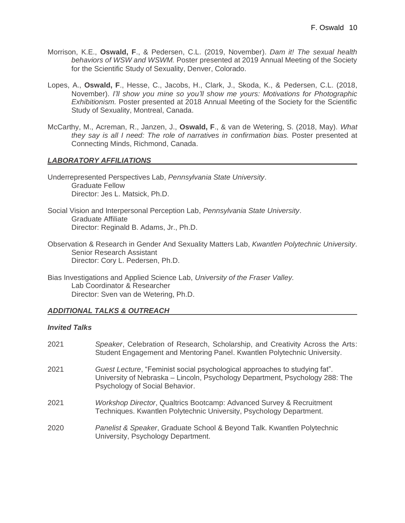- Morrison, K.E., **Oswald, F**., & Pedersen, C.L. (2019, November). *Dam it! The sexual health behaviors of WSW and WSWM.* Poster presented at 2019 Annual Meeting of the Society for the Scientific Study of Sexuality, Denver, Colorado.
- Lopes, A., **Oswald, F**., Hesse, C., Jacobs, H., Clark, J., Skoda, K., & Pedersen, C.L. (2018, November). *I'll show you mine so you'll show me yours: Motivations for Photographic Exhibitionism.* Poster presented at 2018 Annual Meeting of the Society for the Scientific Study of Sexuality, Montreal, Canada.
- McCarthy, M., Acreman, R., Janzen, J., **Oswald, F**., & van de Wetering, S. (2018, May). *What they say is all I need: The role of narratives in confirmation bias.* Poster presented at Connecting Minds, Richmond, Canada.

# *LABORATORY AFFILIATIONS*

Underrepresented Perspectives Lab, *Pennsylvania State University*. Graduate Fellow Director: Jes L. Matsick, Ph.D.

- Social Vision and Interpersonal Perception Lab, *Pennsylvania State University*. Graduate Affiliate Director: Reginald B. Adams, Jr., Ph.D.
- Observation & Research in Gender And Sexuality Matters Lab, *Kwantlen Polytechnic University*. Senior Research Assistant Director: Cory L. Pedersen, Ph.D.

Bias Investigations and Applied Science Lab, *University of the Fraser Valley.* Lab Coordinator & Researcher Director: Sven van de Wetering, Ph.D.

# *ADDITIONAL TALKS & OUTREACH*

#### *Invited Talks*

| 2021 | Speaker, Celebration of Research, Scholarship, and Creativity Across the Arts:<br>Student Engagement and Mentoring Panel. Kwantlen Polytechnic University.                                   |
|------|----------------------------------------------------------------------------------------------------------------------------------------------------------------------------------------------|
| 2021 | Guest Lecture, "Feminist social psychological approaches to studying fat".<br>University of Nebraska - Lincoln, Psychology Department, Psychology 288: The<br>Psychology of Social Behavior. |
| 2021 | Workshop Director, Qualtrics Bootcamp: Advanced Survey & Recruitment<br>Techniques. Kwantlen Polytechnic University, Psychology Department.                                                  |
| 2020 | Panelist & Speaker, Graduate School & Beyond Talk. Kwantlen Polytechnic<br>University, Psychology Department.                                                                                |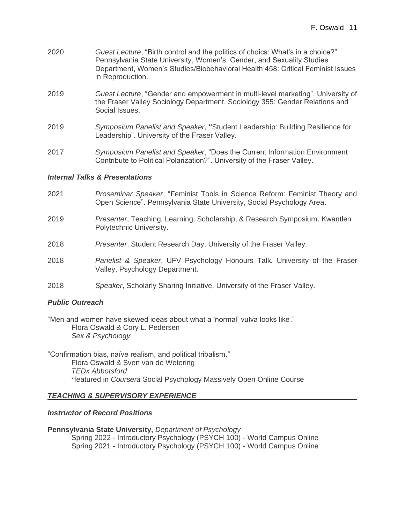- 2020 *Guest Lecture*, "Birth control and the politics of choics: What's in a choice?". Pennsylvania State University, Women's, Gender, and Sexuality Studies Department, Women's Studies/Biobehavioral Health 458: Critical Feminist Issues in Reproduction.
- 2019 *Guest Lecture*, "Gender and empowerment in multi-level marketing". University of the Fraser Valley Sociology Department, Sociology 355: Gender Relations and Social Issues.
- 2019 *Symposium Panelist and Speaker*, **"**Student Leadership: Building Resilience for Leadership". University of the Fraser Valley.
- 2017 *Symposium Panelist and Speaker*, "Does the Current Information Environment Contribute to Political Polarization?". University of the Fraser Valley.

#### *Internal Talks & Presentations*

- 2021 *Proseminar Speaker*, "Feminist Tools in Science Reform: Feminist Theory and Open Science". Pennsylvania State University, Social Psychology Area.
- 2019 *Presenter*, Teaching, Learning, Scholarship, & Research Symposium. Kwantlen Polytechnic University.
- 2018 *Presenter*, Student Research Day. University of the Fraser Valley.
- 2018 *Panelist & Speaker*, UFV Psychology Honours Talk*.* University of the Fraser Valley, Psychology Department.
- 2018 *Speaker*, Scholarly Sharing Initiative*,* University of the Fraser Valley.

# *Public Outreach*

"Men and women have skewed ideas about what a 'normal' vulva looks like." Flora Oswald & Cory L. Pedersen *Sex & Psychology* 

"Confirmation bias, naïve realism, and political tribalism." Flora Oswald & Sven van de Wetering *TEDx Abbotsford* \*featured in *Coursera* Social Psychology Massively Open Online Course

# *TEACHING & SUPERVISORY EXPERIENCE*

#### *Instructor of Record Positions*

#### **Pennsylvania State University,** *Department of Psychology*

Spring 2022 - Introductory Psychology (PSYCH 100) - World Campus Online Spring 2021 - Introductory Psychology (PSYCH 100) - World Campus Online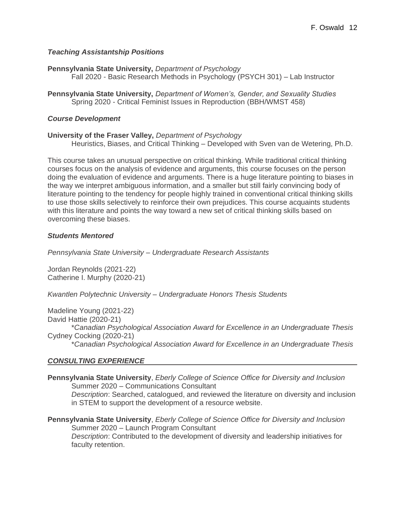# *Teaching Assistantship Positions*

**Pennsylvania State University,** *Department of Psychology* Fall 2020 - Basic Research Methods in Psychology (PSYCH 301) – Lab Instructor

**Pennsylvania State University,** *Department of Women's, Gender, and Sexuality Studies* Spring 2020 - Critical Feminist Issues in Reproduction (BBH/WMST 458)

#### *Course Development*

#### **University of the Fraser Valley,** *Department of Psychology*

Heuristics, Biases, and Critical Thinking – Developed with Sven van de Wetering, Ph.D.

This course takes an unusual perspective on critical thinking. While traditional critical thinking courses focus on the analysis of evidence and arguments, this course focuses on the person doing the evaluation of evidence and arguments. There is a huge literature pointing to biases in the way we interpret ambiguous information, and a smaller but still fairly convincing body of literature pointing to the tendency for people highly trained in conventional critical thinking skills to use those skills selectively to reinforce their own prejudices. This course acquaints students with this literature and points the way toward a new set of critical thinking skills based on overcoming these biases.

#### *Students Mentored*

*Pennsylvania State University – Undergraduate Research Assistants*

Jordan Reynolds (2021-22) Catherine I. Murphy (2020-21)

*Kwantlen Polytechnic University – Undergraduate Honors Thesis Students*

Madeline Young (2021-22) David Hattie (2020-21) \**Canadian Psychological Association Award for Excellence in an Undergraduate Thesis* Cydney Cocking (2020-21) \**Canadian Psychological Association Award for Excellence in an Undergraduate Thesis*

# *CONSULTING EXPERIENCE*

**Pennsylvania State University**, *Eberly College of Science Office for Diversity and Inclusion* Summer 2020 – Communications Consultant *Description*: Searched, catalogued, and reviewed the literature on diversity and inclusion in STEM to support the development of a resource website.

**Pennsylvania State University**, *Eberly College of Science Office for Diversity and Inclusion* Summer 2020 – Launch Program Consultant *Description*: Contributed to the development of diversity and leadership initiatives for faculty retention.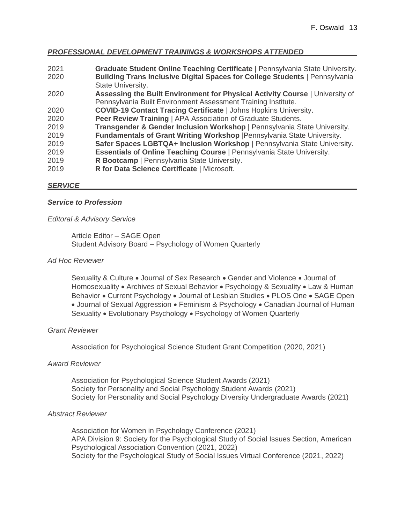# *PROFESSIONAL DEVELOPMENT TRAININGS & WORKSHOPS ATTENDED*

| 2021 | Graduate Student Online Teaching Certificate   Pennsylvania State University. |
|------|-------------------------------------------------------------------------------|
| 2020 | Building Trans Inclusive Digital Spaces for College Students   Pennsylvania   |
|      | State University.                                                             |
| 2020 | Assessing the Built Environment for Physical Activity Course   University of  |
|      | Pennsylvania Built Environment Assessment Training Institute.                 |
| 2020 | <b>COVID-19 Contact Tracing Certificate   Johns Hopkins University.</b>       |
| 2020 | Peer Review Training   APA Association of Graduate Students.                  |
| 2019 | Transgender & Gender Inclusion Workshop   Pennsylvania State University.      |
| 2019 | Fundamentals of Grant Writing Workshop   Pennsylvania State University.       |
| 2019 | Safer Spaces LGBTQA+ Inclusion Workshop   Pennsylvania State University.      |
| 2019 | Essentials of Online Teaching Course   Pennsylvania State University.         |
| 2019 | R Bootcamp   Pennsylvania State University.                                   |
| 2019 | R for Data Science Certificate   Microsoft.                                   |
|      |                                                                               |

#### *SERVICE*

# *Service to Profession*

#### *Editoral & Advisory Service*

Article Editor – SAGE Open Student Advisory Board – Psychology of Women Quarterly

#### *Ad Hoc Reviewer*

Sexuality & Culture • Journal of Sex Research • Gender and Violence • Journal of Homosexuality • Archives of Sexual Behavior • Psychology & Sexuality • Law & Human Behavior • Current Psychology • Journal of Lesbian Studies • PLOS One • SAGE Open • Journal of Sexual Aggression • Feminism & Psychology • Canadian Journal of Human Sexuality • Evolutionary Psychology • Psychology of Women Quarterly

# *Grant Reviewer*

Association for Psychological Science Student Grant Competition (2020, 2021)

#### *Award Reviewer*

Association for Psychological Science Student Awards (2021) Society for Personality and Social Psychology Student Awards (2021) Society for Personality and Social Psychology Diversity Undergraduate Awards (2021)

#### *Abstract Reviewer*

Association for Women in Psychology Conference (2021) APA Division 9: Society for the Psychological Study of Social Issues Section, American Psychological Association Convention (2021, 2022) Society for the Psychological Study of Social Issues Virtual Conference (2021, 2022)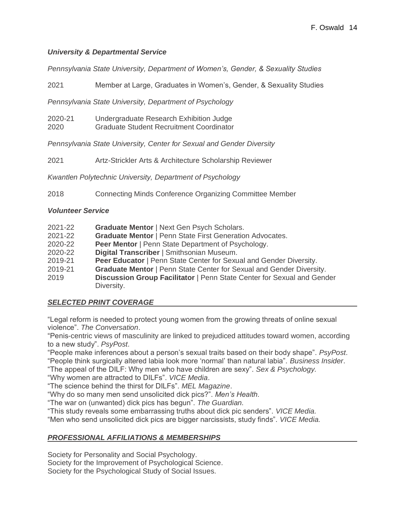# *University & Departmental Service*

*Pennsylvania State University, Department of Women's, Gender, & Sexuality Studies*

2021 Member at Large, Graduates in Women's, Gender, & Sexuality Studies

*Pennsylvania State University, Department of Psychology*

2020-21 Undergraduate Research Exhibition Judge 2020 Graduate Student Recruitment Coordinator

*Pennsylvania State University, Center for Sexual and Gender Diversity*

2021 Artz-Strickler Arts & Architecture Scholarship Reviewer

*Kwantlen Polytechnic University, Department of Psychology*

2018 Connecting Minds Conference Organizing Committee Member

# *Volunteer Service*

| 2021-22 |  | <b>Graduate Mentor   Next Gen Psych Scholars.</b> |
|---------|--|---------------------------------------------------|
|---------|--|---------------------------------------------------|

- 2021-22 **Graduate Mentor** | Penn State First Generation Advocates.
- 2020-22 **Peer Mentor** | Penn State Department of Psychology.
- 2020-22 **Digital Transcriber** | Smithsonian Museum.
- 2019-21 **Peer Educator** | Penn State Center for Sexual and Gender Diversity.
- 2019-21 **Graduate Mentor** | Penn State Center for Sexual and Gender Diversity.
- 2019 **Discussion Group Facilitator** | Penn State Center for Sexual and Gender Diversity.

# *SELECTED PRINT COVERAGE*

"Legal reform is needed to protect young women from the growing threats of online sexual violence". *The Conversation*.

"Penis-centric views of masculinity are linked to prejudiced attitudes toward women, according to a new study". *PsyPost*.

"People make inferences about a person's sexual traits based on their body shape". *PsyPost*. "People think surgically altered labia look more 'normal' than natural labia". *Business Insider*.

"The appeal of the DILF: Why men who have children are sexy". *Sex & Psychology.*

"Why women are attracted to DILFs". *VICE Media*.

"The science behind the thirst for DILFs". *MEL Magazine*.

"Why do so many men send unsolicited dick pics?". *Men's Health.*

"The war on (unwanted) dick pics has begun". *The Guardian.*

"This study reveals some embarrassing truths about dick pic senders". *VICE Media.* 

"Men who send unsolicited dick pics are bigger narcissists, study finds". *VICE Media.*

# *PROFESSIONAL AFFILIATIONS & MEMBERSHIPS*

Society for Personality and Social Psychology.

Society for the Improvement of Psychological Science.

Society for the Psychological Study of Social Issues.